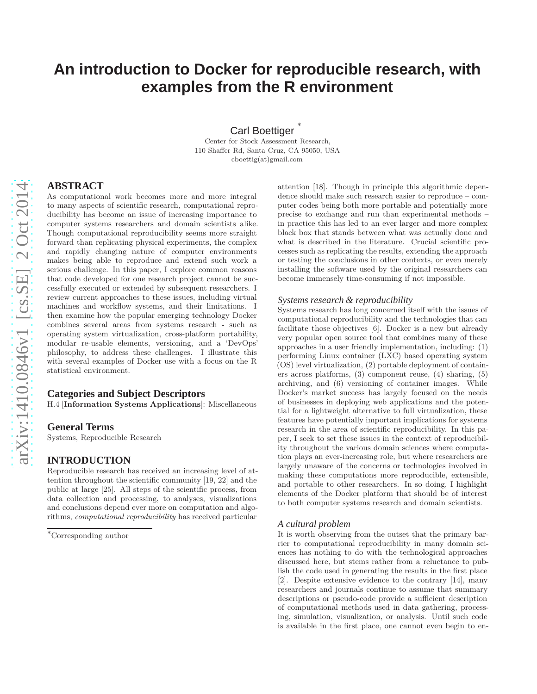# **An introduction to Docker for reproducible research, with examples from the R environment**

Carl Boettiger ∗

Center for Stock Assessment Research, 110 Shaffer Rd, Santa Cruz, CA 95050, USA cboettig(at)gmail.com

# **ABSTRACT**

As computational work becomes more and more integral to many aspects of scientific research, computational repro ducibility has become an issue of increasing importance to computer systems researchers and domain scientists alike. Though computational reproducibility seems more straight forward than replicating physical experiments, the comple x and rapidly changing nature of computer environments makes being able to reproduce and extend such work a serious challenge. In this paper, I explore common reasons that code developed for one research project cannot be successfully executed or extended by subsequent researchers. I review current approaches to these issues, including virtual machines and workflow systems, and their limitations. I then examine how the popular emerging technology Docker combines several areas from systems research - such as operating system virtualization, cross-platform portability, modular re-usable elements, versioning, and a 'DevOps' philosophy, to address these challenges. I illustrate this with several examples of Docker use with a focus on the R statistical environment.

# **Categories and Subject Descriptors**

H.4 [**Information Systems Applications**]: Miscellaneous

# **General Terms**

Systems, Reproducible Research

# **INTRODUCTION**

Reproducible research has received an increasing level of attention throughout the scientific community [19, 22] and the public at large [25]. All steps of the scientific process, fro m data collection and processing, to analyses, visualizations and conclusions depend ever more on computation and algorithms, *computational reproducibility* has received particular

attention [18]. Though in principle this algorithmic depen dence should make such research easier to reproduce – computer codes being both more portable and potentially more precise to exchange and run than experimental methods – in practice this has led to an ever larger and more complex black box that stands between what was actually done and what is described in the literature. Crucial scientific processes such as replicating the results, extending the approach or testing the conclusions in other contexts, or even merely installing the software used by the original researchers ca n become immensely time-consuming if not impossible.

#### *Systems research & reproducibility*

Systems research has long concerned itself with the issues o f computational reproducibility and the technologies that can facilitate those objectives [6]. Docker is a new but already very popular open source tool that combines many of these approaches in a user friendly implementation, including: (1) performing Linux container (LXC) based operating system (OS) level virtualization, (2) portable deployment of containers across platforms, (3) component reuse, (4) sharing, (5) archiving, and (6) versioning of container images. While Docker's market success has largely focused on the needs of businesses in deploying web applications and the potential for a lightweight alternative to full virtualization, these features have potentially important implications for systems research in the area of scientific reproducibility. In this paper, I seek to set these issues in the context of reproducibility throughout the various domain sciences where computation plays an ever-increasing role, but where researchers are largely unaware of the concerns or technologies involved in making these computations more reproducible, extensible, and portable to other researchers. In so doing, I highlight elements of the Docker platform that should be of interest to both computer systems research and domain scientists.

#### *A cultural problem*

It is worth observing from the outset that the primary barrier to computational reproducibility in many domain sciences has nothing to do with the technological approaches discussed here, but stems rather from a reluctance to publish the code used in generating the results in the first place [2]. Despite extensive evidence to the contrary [14], many researchers and journals continue to assume that summary descriptions or pseudo-code provide a sufficient descriptio n of computational methods used in data gathering, processing, simulation, visualization, or analysis. Until such code is available in the first place, one cannot even begin to en-

<sup>∗</sup>Corresponding author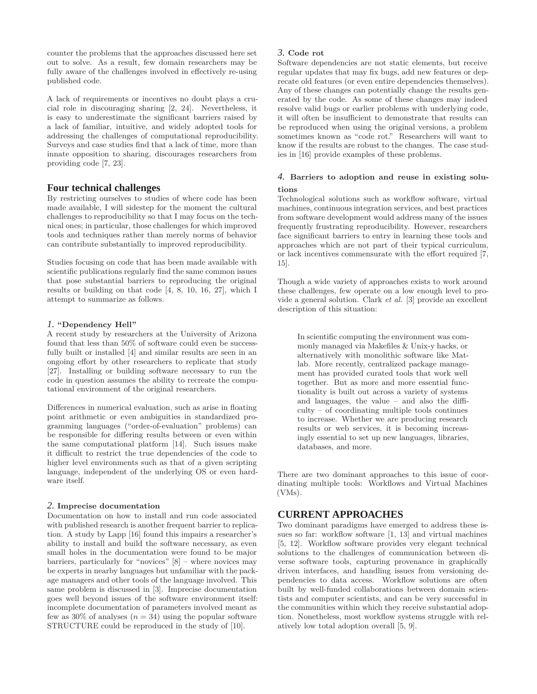counter the problems that the approaches discussed here set out to solve. As a result, few domain researchers may be fully aware of the challenges involved in effectively re-using published code.

A lack of requirements or incentives no doubt plays a crucial role in discouraging sharing [2, 24]. Nevertheless, it is easy to underestimate the significant barriers raised by a lack of familiar, intuitive, and widely adopted tools for addressing the challenges of computational reproducibility. Surveys and case studies find that a lack of time, more than innate opposition to sharing, discourages researchers from providing code [7, 23].

# **Four technical challenges**

By restricting ourselves to studies of where code has been made available, I will sidestep for the moment the cultural challenges to reproducibility so that I may focus on the technical ones; in particular, those challenges for which improved tools and techniques rather than merely norms of behavior can contribute substantially to improved reproducibility.

Studies focusing on code that has been made available with scientific publications regularly find the same common issues that pose substantial barriers to reproducing the original results or building on that code [4, 8, 10, 16, 27], which I attempt to summarize as follows.

# *1.* **"Dependency Hell"**

A recent study by researchers at the University of Arizona found that less than 50% of software could even be successfully built or installed [4] and similar results are seen in an ongoing effort by other researchers to replicate that study [27]. Installing or building software necessary to run the code in question assumes the ability to recreate the computational environment of the original researchers.

Differences in numerical evaluation, such as arise in floating point arithmetic or even ambiguities in standardized programming languages ("order-of-evaluation" problems) can be responsible for differing results between or even within the same computational platform [14]. Such issues make it difficult to restrict the true dependencies of the code to higher level environments such as that of a given scripting language, independent of the underlying OS or even hardware itself.

#### *2.* **Imprecise documentation**

Documentation on how to install and run code associated with published research is another frequent barrier to replication. A study by Lapp [16] found this impairs a researcher's ability to install and build the software necessary, as even small holes in the documentation were found to be major barriers, particularly for "novices" [8] – where novices may be experts in nearby languages but unfamiliar with the package managers and other tools of the language involved. This same problem is discussed in [3]. Imprecise documentation goes well beyond issues of the software environment itself: incomplete documentation of parameters involved meant as few as  $30\%$  of analyses  $(n = 34)$  using the popular software STRUCTURE could be reproduced in the study of [10].

#### *3.* **Code rot**

Software dependencies are not static elements, but receive regular updates that may fix bugs, add new features or deprecate old features (or even entire dependencies themselves). Any of these changes can potentially change the results generated by the code. As some of these changes may indeed resolve valid bugs or earlier problems with underlying code, it will often be insufficient to demonstrate that results can be reproduced when using the original versions, a problem sometimes known as "code rot." Researchers will want to know if the results are robust to the changes. The case studies in [16] provide examples of these problems.

# *4.* **Barriers to adoption and reuse in existing solutions**

Technological solutions such as workflow software, virtual machines, continuous integration services, and best practices from software development would address many of the issues frequently frustrating reproducibility. However, researchers face significant barriers to entry in learning these tools and approaches which are not part of their typical curriculum, or lack incentives commensurate with the effort required [7, 15].

Though a wide variety of approaches exists to work around these challenges, few operate on a low enough level to provide a general solution. Clark *et al.* [3] provide an excellent description of this situation:

In scientific computing the environment was commonly managed via Makefiles & Unix-y hacks, or alternatively with monolithic software like Matlab. More recently, centralized package management has provided curated tools that work well together. But as more and more essential functionality is built out across a variety of systems and languages, the value – and also the difficulty – of coordinating multiple tools continues to increase. Whether we are producing research results or web services, it is becoming increasingly essential to set up new languages, libraries, databases, and more.

There are two dominant approaches to this issue of coordinating multiple tools: Workflows and Virtual Machines (VMs).

# **CURRENT APPROACHES**

Two dominant paradigms have emerged to address these issues so far: workflow software [1, 13] and virtual machines [5, 12]. Workflow software provides very elegant technical solutions to the challenges of communication between diverse software tools, capturing provenance in graphically driven interfaces, and handling issues from versioning dependencies to data access. Workflow solutions are often built by well-funded collaborations between domain scientists and computer scientists, and can be very successful in the communities within which they receive substantial adoption. Nonetheless, most workflow systems struggle with relatively low total adoption overall [5, 9].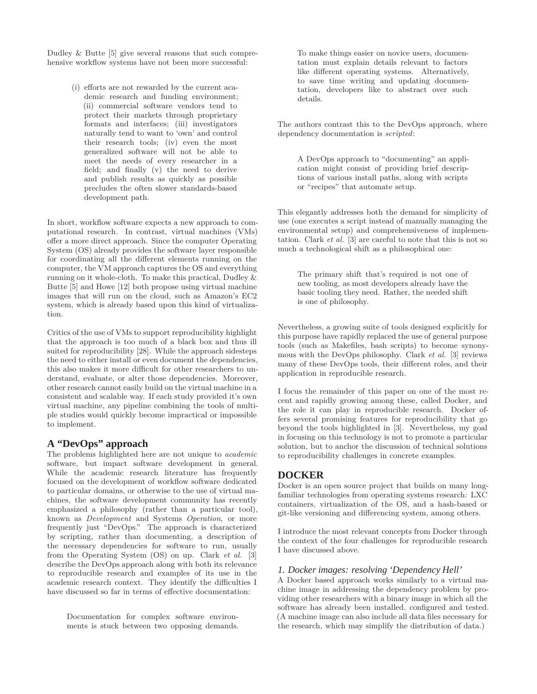Dudley & Butte [5] give several reasons that such comprehensive workflow systems have not been more successful:

> (i) efforts are not rewarded by the current academic research and funding environment; (ii) commercial software vendors tend to protect their markets through proprietary formats and interfaces; (iii) investigators naturally tend to want to 'own' and control their research tools; (iv) even the most generalized software will not be able to meet the needs of every researcher in a field; and finally (v) the need to derive and publish results as quickly as possible precludes the often slower standards-based development path.

In short, workflow software expects a new approach to computational research. In contrast, virtual machines (VMs) offer a more direct approach. Since the computer Operating System (OS) already provides the software layer responsible for coordinating all the different elements running on the computer, the VM approach captures the OS and everything running on it whole-cloth. To make this practical, Dudley & Butte [5] and Howe [12] both propose using virtual machine images that will run on the cloud, such as Amazon's EC2 system, which is already based upon this kind of virtualization.

Critics of the use of VMs to support reproducibility highlight that the approach is too much of a black box and thus ill suited for reproducibility [28]. While the approach sidesteps the need to either install or even document the dependencies, this also makes it more difficult for other researchers to understand, evaluate, or alter those dependencies. Moreover, other research cannot easily build on the virtual machine in a consistent and scalable way. If each study provided it's own virtual machine, any pipeline combining the tools of multiple studies would quickly become impractical or impossible to implement.

# **A "DevOps" approach**

The problems highlighted here are not unique to *academic* software, but impact software development in general. While the academic research literature has frequently focused on the development of workflow software dedicated to particular domains, or otherwise to the use of virtual machines, the software development community has recently emphasized a philosophy (rather than a particular tool), known as *Development* and Systems *Operation*, or more frequently just "DevOps." The approach is characterized by scripting, rather than documenting, a description of the necessary dependencies for software to run, usually from the Operating System (OS) on up. Clark *et al.* [3] describe the DevOps approach along with both its relevance to reproducible research and examples of its use in the academic research context. They identify the difficulties I have discussed so far in terms of effective documentation:

Documentation for complex software environments is stuck between two opposing demands. To make things easier on novice users, documentation must explain details relevant to factors like different operating systems. Alternatively, to save time writing and updating documentation, developers like to abstract over such details.

The authors contrast this to the DevOps approach, where dependency documentation is *scripted*:

A DevOps approach to "documenting" an application might consist of providing brief descriptions of various install paths, along with scripts or "recipes" that automate setup.

This elegantly addresses both the demand for simplicity of use (one executes a script instead of manually managing the environmental setup) and comprehensiveness of implementation. Clark *et al.* [3] are careful to note that this is not so much a technological shift as a philosophical one:

The primary shift that's required is not one of new tooling, as most developers already have the basic tooling they need. Rather, the needed shift is one of philosophy.

Nevertheless, a growing suite of tools designed explicitly for this purpose have rapidly replaced the use of general purpose tools (such as Makefiles, bash scripts) to become synonymous with the DevOps philosophy. Clark *et al.* [3] reviews many of these DevOps tools, their different roles, and their application in reproducible research.

I focus the remainder of this paper on one of the most recent and rapidly growing among these, called Docker, and the role it can play in reproducible research. Docker offers several promising features for reproducibility that go beyond the tools highlighted in [3]. Nevertheless, my goal in focusing on this technology is not to promote a particular solution, but to anchor the discussion of technical solutions to reproducibility challenges in concrete examples.

# **DOCKER**

Docker is an open source project that builds on many longfamiliar technologies from operating systems research: LXC containers, virtualization of the OS, and a hash-based or git-like versioning and differencing system, among others.

I introduce the most relevant concepts from Docker through the context of the four challenges for reproducible research I have discussed above.

# *1. Docker images: resolving 'Dependency Hell'*

A Docker based approach works similarly to a virtual machine image in addressing the dependency problem by providing other researchers with a binary image in which all the software has already been installed, configured and tested. (A machine image can also include all data files necessary for the research, which may simplify the distribution of data.)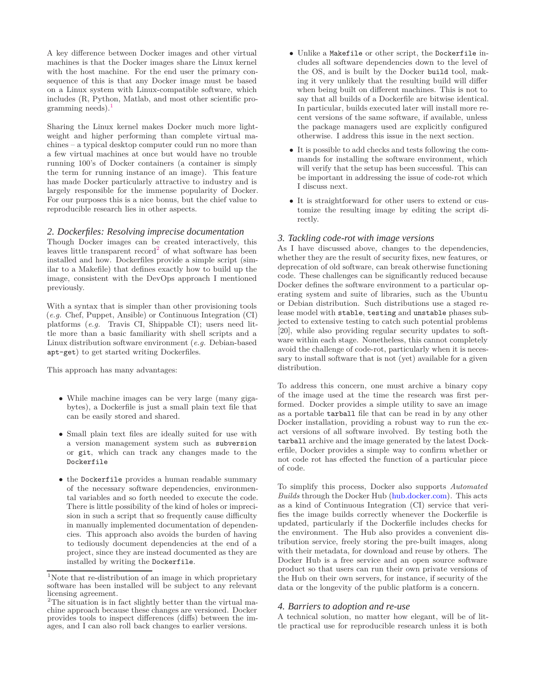A key difference between Docker images and other virtual machines is that the Docker images share the Linux kernel with the host machine. For the end user the primary consequence of this is that any Docker image must be based on a Linux system with Linux-compatible software, which includes (R, Python, Matlab, and most other scientific pro $gramming needs$ .

Sharing the Linux kernel makes Docker much more lightweight and higher performing than complete virtual machines – a typical desktop computer could run no more than a few virtual machines at once but would have no trouble running 100's of Docker containers (a container is simply the term for running instance of an image). This feature has made Docker particularly attractive to industry and is largely responsible for the immense popularity of Docker. For our purposes this is a nice bonus, but the chief value to reproducible research lies in other aspects.

#### *2. Dockerfiles: Resolving imprecise documentation*

Though Docker images can be created interactively, this leaves little transparent record<sup>[2](#page-3-1)</sup> of what software has been installed and how. Dockerfiles provide a simple script (similar to a Makefile) that defines exactly how to build up the image, consistent with the DevOps approach I mentioned previously.

With a syntax that is simpler than other provisioning tools (*e.g.* Chef, Puppet, Ansible) or Continuous Integration (CI) platforms (*e.g.* Travis CI, Shippable CI); users need little more than a basic familiarity with shell scripts and a Linux distribution software environment (*e.g.* Debian-based apt-get) to get started writing Dockerfiles.

This approach has many advantages:

- While machine images can be very large (many gigabytes), a Dockerfile is just a small plain text file that can be easily stored and shared.
- Small plain text files are ideally suited for use with a version management system such as subversion or git, which can track any changes made to the Dockerfile
- the Dockerfile provides a human readable summary of the necessary software dependencies, environmental variables and so forth needed to execute the code. There is little possibility of the kind of holes or imprecision in such a script that so frequently cause difficulty in manually implemented documentation of dependencies. This approach also avoids the burden of having to tediously document dependencies at the end of a project, since they are instead documented as they are installed by writing the Dockerfile.
- Unlike a Makefile or other script, the Dockerfile includes all software dependencies down to the level of the OS, and is built by the Docker build tool, making it very unlikely that the resulting build will differ when being built on different machines. This is not to say that all builds of a Dockerfile are bitwise identical. In particular, builds executed later will install more recent versions of the same software, if available, unless the package managers used are explicitly configured otherwise. I address this issue in the next section.
- It is possible to add checks and tests following the commands for installing the software environment, which will verify that the setup has been successful. This can be important in addressing the issue of code-rot which I discuss next.
- It is straightforward for other users to extend or customize the resulting image by editing the script directly.

#### *3. Tackling code-rot with image versions*

As I have discussed above, changes to the dependencies, whether they are the result of security fixes, new features, or deprecation of old software, can break otherwise functioning code. These challenges can be significantly reduced because Docker defines the software environment to a particular operating system and suite of libraries, such as the Ubuntu or Debian distribution. Such distributions use a staged release model with stable, testing and unstable phases subjected to extensive testing to catch such potential problems [20], while also providing regular security updates to software within each stage. Nonetheless, this cannot completely avoid the challenge of code-rot, particularly when it is necessary to install software that is not (yet) available for a given distribution.

To address this concern, one must archive a binary copy of the image used at the time the research was first performed. Docker provides a simple utility to save an image as a portable tarball file that can be read in by any other Docker installation, providing a robust way to run the exact versions of all software involved. By testing both the tarball archive and the image generated by the latest Dockerfile, Docker provides a simple way to confirm whether or not code rot has effected the function of a particular piece of code.

To simplify this process, Docker also supports *Automated Builds* through the Docker Hub [\(hub.docker.com\)](http://hub.docker.com). This acts as a kind of Continuous Integration (CI) service that verifies the image builds correctly whenever the Dockerfile is updated, particularly if the Dockerfile includes checks for the environment. The Hub also provides a convenient distribution service, freely storing the pre-built images, along with their metadata, for download and reuse by others. The Docker Hub is a free service and an open source software product so that users can run their own private versions of the Hub on their own servers, for instance, if security of the data or the longevity of the public platform is a concern.

#### *4. Barriers to adoption and re-use*

A technical solution, no matter how elegant, will be of little practical use for reproducible research unless it is both

<span id="page-3-0"></span><sup>&</sup>lt;sup>1</sup>Note that re-distribution of an image in which proprietary software has been installed will be subject to any relevant licensing agreement.

<span id="page-3-1"></span><sup>&</sup>lt;sup>2</sup>The situation is in fact slightly better than the virtual machine approach because these changes are versioned. Docker provides tools to inspect differences (diffs) between the images, and I can also roll back changes to earlier versions.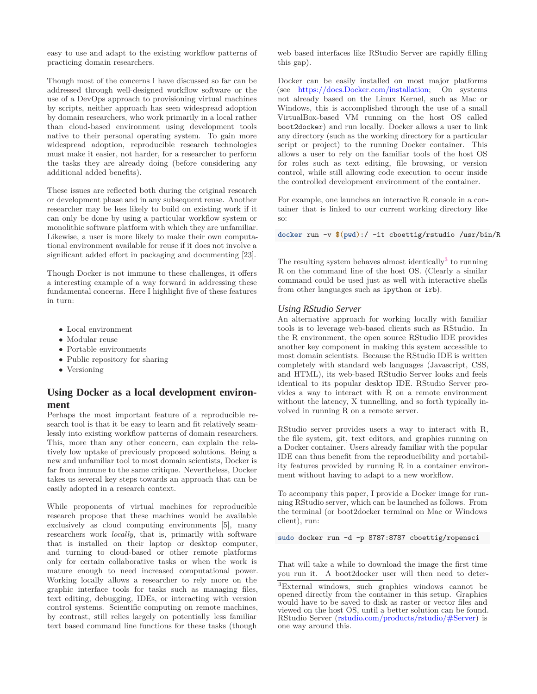easy to use and adapt to the existing workflow patterns of practicing domain researchers.

Though most of the concerns I have discussed so far can be addressed through well-designed workflow software or the use of a DevOps approach to provisioning virtual machines by scripts, neither approach has seen widespread adoption by domain researchers, who work primarily in a local rather than cloud-based environment using development tools native to their personal operating system. To gain more widespread adoption, reproducible research technologies must make it easier, not harder, for a researcher to perform the tasks they are already doing (before considering any additional added benefits).

These issues are reflected both during the original research or development phase and in any subsequent reuse. Another researcher may be less likely to build on existing work if it can only be done by using a particular workflow system or monolithic software platform with which they are unfamiliar. Likewise, a user is more likely to make their own computational environment available for reuse if it does not involve a significant added effort in packaging and documenting [23].

Though Docker is not immune to these challenges, it offers a interesting example of a way forward in addressing these fundamental concerns. Here I highlight five of these features in turn:

- Local environment
- Modular reuse
- Portable environments
- Public repository for sharing
- Versioning

# **Using Docker as a local development environment**

Perhaps the most important feature of a reproducible research tool is that it be easy to learn and fit relatively seamlessly into existing workflow patterns of domain researchers. This, more than any other concern, can explain the relatively low uptake of previously proposed solutions. Being a new and unfamiliar tool to most domain scientists, Docker is far from immune to the same critique. Nevertheless, Docker takes us several key steps towards an approach that can be easily adopted in a research context.

While proponents of virtual machines for reproducible research propose that these machines would be available exclusively as cloud computing environments [5], many researchers work *locally*, that is, primarily with software that is installed on their laptop or desktop computer, and turning to cloud-based or other remote platforms only for certain collaborative tasks or when the work is mature enough to need increased computational power. Working locally allows a researcher to rely more on the graphic interface tools for tasks such as managing files, text editing, debugging, IDEs, or interacting with version control systems. Scientific computing on remote machines, by contrast, still relies largely on potentially less familiar text based command line functions for these tasks (though web based interfaces like RStudio Server are rapidly filling this gap).

Docker can be easily installed on most major platforms (see [https://docs.Docker.com/installation;](https://docs.Docker.com/installation) On systems not already based on the Linux Kernel, such as Mac or Windows, this is accomplished through the use of a small VirtualBox-based VM running on the host OS called boot2docker) and run locally. Docker allows a user to link any directory (such as the working directory for a particular script or project) to the running Docker container. This allows a user to rely on the familiar tools of the host OS for roles such as text editing, file browsing, or version control, while still allowing code execution to occur inside the controlled development environment of the container.

For example, one launches an interactive R console in a container that is linked to our current working directory like so:

**docker** run -v \$(**pwd**):/ -it cboettig/rstudio /usr/bin/R

The resulting system behaves almost identically<sup>[3](#page-4-0)</sup> to running R on the command line of the host OS. (Clearly a similar command could be used just as well with interactive shells from other languages such as ipython or irb).

#### *Using RStudio Server*

An alternative approach for working locally with familiar tools is to leverage web-based clients such as RStudio. In the R environment, the open source RStudio IDE provides another key component in making this system accessible to most domain scientists. Because the RStudio IDE is written completely with standard web languages (Javascript, CSS, and HTML), its web-based RStudio Server looks and feels identical to its popular desktop IDE. RStudio Server provides a way to interact with R on a remote environment without the latency, X tunnelling, and so forth typically involved in running R on a remote server.

RStudio server provides users a way to interact with R, the file system, git, text editors, and graphics running on a Docker container. Users already familiar with the popular IDE can thus benefit from the reproducibility and portability features provided by running R in a container environment without having to adapt to a new workflow.

To accompany this paper, I provide a Docker image for running RStudio server, which can be launched as follows. From the terminal (or boot2docker terminal on Mac or Windows client), run:

**sudo** docker run -d -p 8787:8787 cboettig/ropensci

That will take a while to download the image the first time you run it. A boot2docker user will then need to deter-

<span id="page-4-0"></span><sup>3</sup>External windows, such graphics windows cannot be opened directly from the container in this setup. Graphics would have to be saved to disk as raster or vector files and viewed on the host OS, until a better solution can be found. RStudio Server [\(rstudio.com/products/rstudio/#Server\)](http://rstudio.com/products/rstudio/#Server) is one way around this.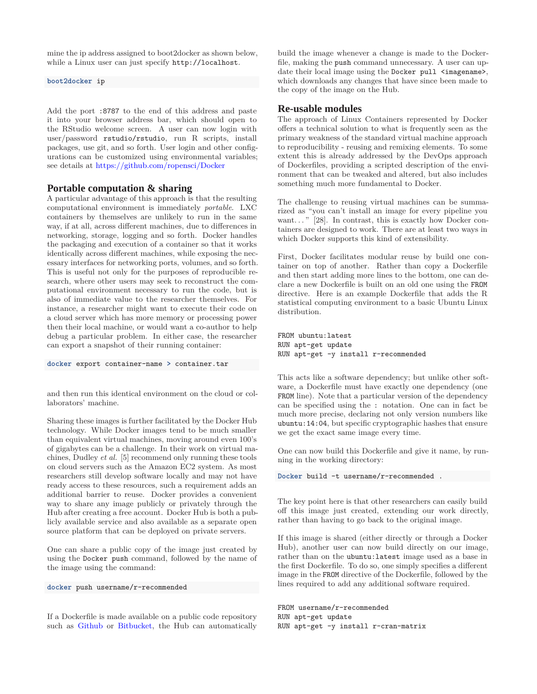mine the ip address assigned to boot2docker as shown below, while a Linux user can just specify http://localhost.

**boot2docker** ip

Add the port :8787 to the end of this address and paste it into your browser address bar, which should open to the RStudio welcome screen. A user can now login with user/password rstudio/rstudio, run R scripts, install packages, use git, and so forth. User login and other configurations can be customized using environmental variables; see details at <https://github.com/ropensci/Docker>

# **Portable computation & sharing**

A particular advantage of this approach is that the resulting computational environment is immediately *portable*. LXC containers by themselves are unlikely to run in the same way, if at all, across different machines, due to differences in networking, storage, logging and so forth. Docker handles the packaging and execution of a container so that it works identically across different machines, while exposing the necessary interfaces for networking ports, volumes, and so forth. This is useful not only for the purposes of reproducible research, where other users may seek to reconstruct the computational environment necessary to run the code, but is also of immediate value to the researcher themselves. For instance, a researcher might want to execute their code on a cloud server which has more memory or processing power then their local machine, or would want a co-author to help debug a particular problem. In either case, the researcher can export a snapshot of their running container:

**docker** export container-name **>** container.tar

and then run this identical environment on the cloud or collaborators' machine.

Sharing these images is further facilitated by the Docker Hub technology. While Docker images tend to be much smaller than equivalent virtual machines, moving around even 100's of gigabytes can be a challenge. In their work on virtual machines, Dudley *et al.* [5] recommend only running these tools on cloud servers such as the Amazon EC2 system. As most researchers still develop software locally and may not have ready access to these resources, such a requirement adds an additional barrier to reuse. Docker provides a convenient way to share any image publicly or privately through the Hub after creating a free account. Docker Hub is both a publicly available service and also available as a separate open source platform that can be deployed on private servers.

One can share a public copy of the image just created by using the Docker push command, followed by the name of the image using the command:

**docker** push username/r-recommended

If a Dockerfile is made available on a public code repository such as [Github](https://github.com) or [Bitbucket,](https://bitbucket.org) the Hub can automatically build the image whenever a change is made to the Dockerfile, making the push command unnecessary. A user can update their local image using the Docker pull  $\langle$ imagename>, which downloads any changes that have since been made to the copy of the image on the Hub.

#### **Re-usable modules**

The approach of Linux Containers represented by Docker offers a technical solution to what is frequently seen as the primary weakness of the standard virtual machine approach to reproducibility - reusing and remixing elements. To some extent this is already addressed by the DevOps approach of Dockerfiles, providing a scripted description of the environment that can be tweaked and altered, but also includes something much more fundamental to Docker.

The challenge to reusing virtual machines can be summarized as "you can't install an image for every pipeline you want..." [28]. In contrast, this is exactly how Docker containers are designed to work. There are at least two ways in which Docker supports this kind of extensibility.

First, Docker facilitates modular reuse by build one container on top of another. Rather than copy a Dockerfile and then start adding more lines to the bottom, one can declare a new Dockerfile is built on an old one using the FROM directive. Here is an example Dockerfile that adds the R statistical computing environment to a basic Ubuntu Linux distribution.

FROM ubuntu:latest RUN apt-get update RUN apt-get -y install r-recommended

This acts like a software dependency; but unlike other software, a Dockerfile must have exactly one dependency (one FROM line). Note that a particular version of the dependency can be specified using the : notation. One can in fact be much more precise, declaring not only version numbers like ubuntu:14:04, but specific cryptographic hashes that ensure we get the exact same image every time.

One can now build this Dockerfile and give it name, by running in the working directory:

**Docker** build -t username/r-recommended .

The key point here is that other researchers can easily build off this image just created, extending our work directly, rather than having to go back to the original image.

If this image is shared (either directly or through a Docker Hub), another user can now build directly on our image, rather than on the ubuntu:latest image used as a base in the first Dockerfile. To do so, one simply specifies a different image in the FROM directive of the Dockerfile, followed by the lines required to add any additional software required.

FROM username/r-recommended RUN apt-get update RUN apt-get -y install r-cran-matrix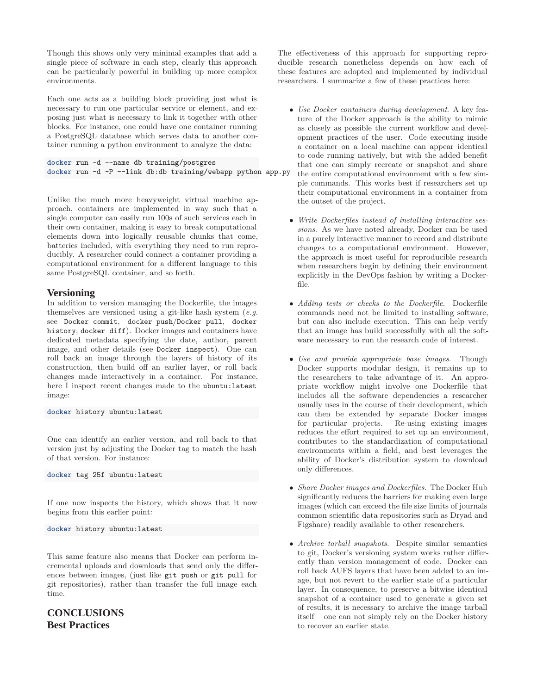Though this shows only very minimal examples that add a single piece of software in each step, clearly this approach can be particularly powerful in building up more complex environments.

Each one acts as a building block providing just what is necessary to run one particular service or element, and exposing just what is necessary to link it together with other blocks. For instance, one could have one container running a PostgreSQL database which serves data to another container running a python environment to analyze the data:

**docker** run -d --name db training/postgres **docker** run -d -P --link db:db training/webapp python app.py

Unlike the much more heavyweight virtual machine approach, containers are implemented in way such that a single computer can easily run 100s of such services each in their own container, making it easy to break computational elements down into logically reusable chunks that come, batteries included, with everything they need to run reproducibly. A researcher could connect a container providing a computational environment for a different language to this same PostgreSQL container, and so forth.

# **Versioning**

In addition to version managing the Dockerfile, the images themselves are versioned using a git-like hash system (*e.g.* see Docker commit, docker push/Docker pull, docker history, docker diff). Docker images and containers have dedicated metadata specifying the date, author, parent image, and other details (see Docker inspect). One can roll back an image through the layers of history of its construction, then build off an earlier layer, or roll back changes made interactively in a container. For instance, here I inspect recent changes made to the ubuntu:latest image:

**docker** history ubuntu:latest

One can identify an earlier version, and roll back to that version just by adjusting the Docker tag to match the hash of that version. For instance:

**docker** tag 25f ubuntu:latest

If one now inspects the history, which shows that it now begins from this earlier point:

```
docker history ubuntu:latest
```
This same feature also means that Docker can perform incremental uploads and downloads that send only the differences between images, (just like git push or git pull for git repositories), rather than transfer the full image each time.

# **CONCLUSIONS Best Practices**

The effectiveness of this approach for supporting reproducible research nonetheless depends on how each of these features are adopted and implemented by individual researchers. I summarize a few of these practices here:

- *Use Docker containers during development*. A key feature of the Docker approach is the ability to mimic as closely as possible the current workflow and development practices of the user. Code executing inside a container on a local machine can appear identical to code running natively, but with the added benefit that one can simply recreate or snapshot and share the entire computational environment with a few simple commands. This works best if researchers set up their computational environment in a container from the outset of the project.
- *Write Dockerfiles instead of installing interactive sessions*. As we have noted already, Docker can be used in a purely interactive manner to record and distribute changes to a computational environment. However, the approach is most useful for reproducible research when researchers begin by defining their environment explicitly in the DevOps fashion by writing a Dockerfile.
- *Adding tests or checks to the Dockerfile*. Dockerfile commands need not be limited to installing software, but can also include execution. This can help verify that an image has build successfully with all the software necessary to run the research code of interest.
- *Use and provide appropriate base images*. Though Docker supports modular design, it remains up to the researchers to take advantage of it. An appropriate workflow might involve one Dockerfile that includes all the software dependencies a researcher usually uses in the course of their development, which can then be extended by separate Docker images for particular projects. Re-using existing images reduces the effort required to set up an environment, contributes to the standardization of computational environments within a field, and best leverages the ability of Docker's distribution system to download only differences.
- *Share Docker images and Dockerfiles*. The Docker Hub significantly reduces the barriers for making even large images (which can exceed the file size limits of journals common scientific data repositories such as Dryad and Figshare) readily available to other researchers.
- *Archive tarball snapshots*. Despite similar semantics to git, Docker's versioning system works rather differently than version management of code. Docker can roll back AUFS layers that have been added to an image, but not revert to the earlier state of a particular layer. In consequence, to preserve a bitwise identical snapshot of a container used to generate a given set of results, it is necessary to archive the image tarball itself – one can not simply rely on the Docker history to recover an earlier state.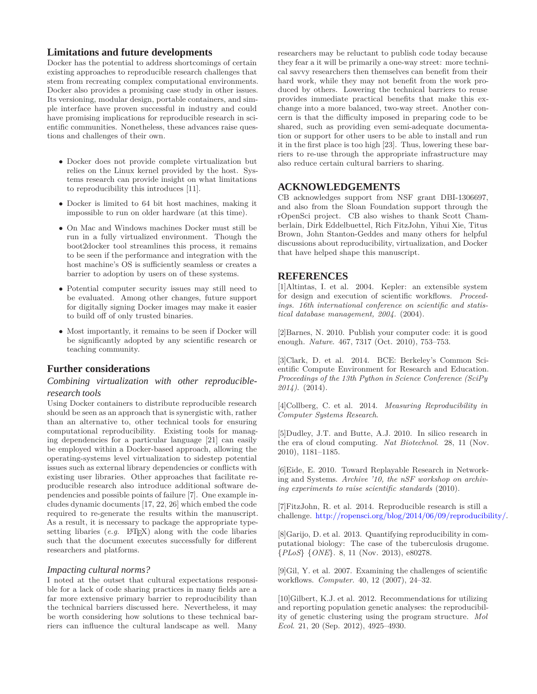# **Limitations and future developments**

Docker has the potential to address shortcomings of certain existing approaches to reproducible research challenges that stem from recreating complex computational environments. Docker also provides a promising case study in other issues. Its versioning, modular design, portable containers, and simple interface have proven successful in industry and could have promising implications for reproducible research in scientific communities. Nonetheless, these advances raise questions and challenges of their own.

- Docker does not provide complete virtualization but relies on the Linux kernel provided by the host. Systems research can provide insight on what limitations to reproducibility this introduces [11].
- Docker is limited to 64 bit host machines, making it impossible to run on older hardware (at this time).
- On Mac and Windows machines Docker must still be run in a fully virtualized environment. Though the boot2docker tool streamlines this process, it remains to be seen if the performance and integration with the host machine's OS is sufficiently seamless or creates a barrier to adoption by users on of these systems.
- Potential computer security issues may still need to be evaluated. Among other changes, future support for digitally signing Docker images may make it easier to build off of only trusted binaries.
- Most importantly, it remains to be seen if Docker will be significantly adopted by any scientific research or teaching community.

# **Further considerations**

# *Combining virtualization with other reproducibleresearch tools*

Using Docker containers to distribute reproducible research should be seen as an approach that is synergistic with, rather than an alternative to, other technical tools for ensuring computational reproducibility. Existing tools for managing dependencies for a particular language [21] can easily be employed within a Docker-based approach, allowing the operating-systems level virtualization to sidestep potential issues such as external library dependencies or conflicts with existing user libraries. Other approaches that facilitate reproducible research also introduce additional software dependencies and possible points of failure [7]. One example includes dynamic documents [17, 22, 26] which embed the code required to re-generate the results within the manuscript. As a result, it is necessary to package the appropriate typesetting libaries  $(e,q, \text{ETrX})$  along with the code libaries such that the document executes successfully for different researchers and platforms.

#### *Impacting cultural norms?*

I noted at the outset that cultural expectations responsible for a lack of code sharing practices in many fields are a far more extensive primary barrier to reproducibility than the technical barriers discussed here. Nevertheless, it may be worth considering how solutions to these technical barriers can influence the cultural landscape as well. Many researchers may be reluctant to publish code today because they fear a it will be primarily a one-way street: more technical savvy researchers then themselves can benefit from their hard work, while they may not benefit from the work produced by others. Lowering the technical barriers to reuse provides immediate practical benefits that make this exchange into a more balanced, two-way street. Another concern is that the difficulty imposed in preparing code to be shared, such as providing even semi-adequate documentation or support for other users to be able to install and run it in the first place is too high [23]. Thus, lowering these barriers to re-use through the appropriate infrastructure may also reduce certain cultural barriers to sharing.

# **ACKNOWLEDGEMENTS**

CB acknowledges support from NSF grant DBI-1306697, and also from the Sloan Foundation support through the rOpenSci project. CB also wishes to thank Scott Chamberlain, Dirk Eddelbuettel, Rich FitzJohn, Yihui Xie, Titus Brown, John Stanton-Geddes and many others for helpful discussions about reproducibility, virtualization, and Docker that have helped shape this manuscript.

#### **REFERENCES**

[1]Altintas, I. et al. 2004. Kepler: an extensible system for design and execution of scientific workflows. *Proceedings. 16th international conference on scientific and statistical database management, 2004.* (2004).

[2]Barnes, N. 2010. Publish your computer code: it is good enough. *Nature*. 467, 7317 (Oct. 2010), 753–753.

[3]Clark, D. et al. 2014. BCE: Berkeley's Common Scientific Compute Environment for Research and Education. *Proceedings of the 13th Python in Science Conference (SciPy 2014)*. (2014).

[4]Collberg, C. et al. 2014. *Measuring Reproducibility in Computer Systems Research*.

[5]Dudley, J.T. and Butte, A.J. 2010. In silico research in the era of cloud computing. *Nat Biotechnol*. 28, 11 (Nov. 2010), 1181–1185.

[6]Eide, E. 2010. Toward Replayable Research in Networking and Systems. *Archive '10, the nSF workshop on archiving experiments to raise scientific standards* (2010).

[7]FitzJohn, R. et al. 2014. Reproducible research is still a challenge. [http://ropensci.org/blog/2014/06/09/reproducibility/.](http://ropensci.org/blog/2014/06/09/reproducibility/)

[8]Garijo, D. et al. 2013. Quantifying reproducibility in computational biology: The case of the tuberculosis drugome. {*PLoS*} {*ONE*}. 8, 11 (Nov. 2013), e80278.

[9]Gil, Y. et al. 2007. Examining the challenges of scientific workflows. *Computer*. 40, 12 (2007), 24–32.

[10]Gilbert, K.J. et al. 2012. Recommendations for utilizing and reporting population genetic analyses: the reproducibility of genetic clustering using the program structure. *Mol Ecol*. 21, 20 (Sep. 2012), 4925–4930.